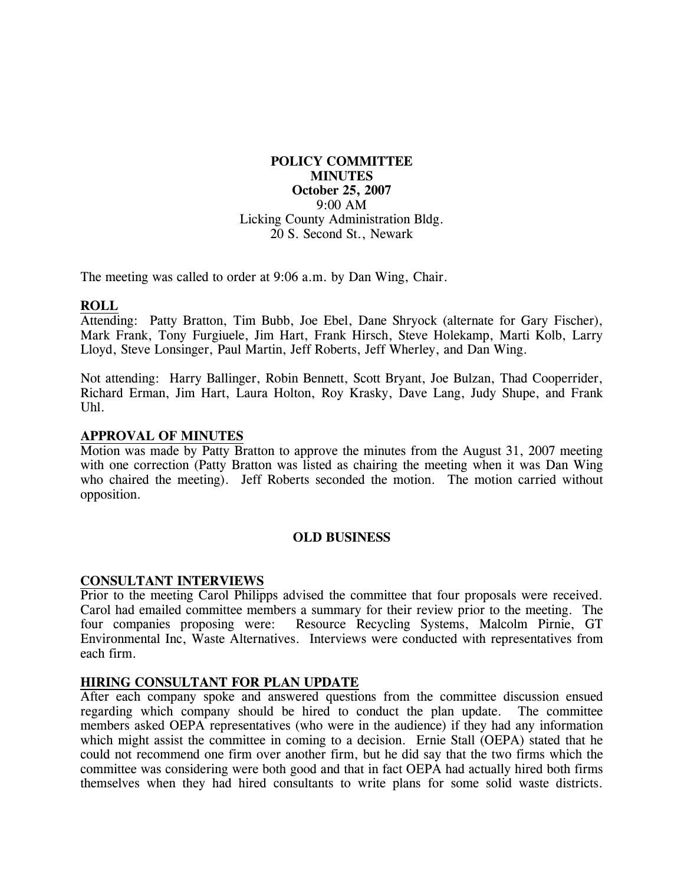# **POLICY COMMITTEE MINUTES October 25, 2007**  9:00 AM Licking County Administration Bldg. 20 S. Second St., Newark

The meeting was called to order at 9:06 a.m. by Dan Wing, Chair.

### **ROLL**

Attending: Patty Bratton, Tim Bubb, Joe Ebel, Dane Shryock (alternate for Gary Fischer), Mark Frank, Tony Furgiuele, Jim Hart, Frank Hirsch, Steve Holekamp, Marti Kolb, Larry Lloyd, Steve Lonsinger, Paul Martin, Jeff Roberts, Jeff Wherley, and Dan Wing.

Not attending: Harry Ballinger, Robin Bennett, Scott Bryant, Joe Bulzan, Thad Cooperrider, Richard Erman, Jim Hart, Laura Holton, Roy Krasky, Dave Lang, Judy Shupe, and Frank Uhl.

## **APPROVAL OF MINUTES**

Motion was made by Patty Bratton to approve the minutes from the August 31, 2007 meeting with one correction (Patty Bratton was listed as chairing the meeting when it was Dan Wing who chaired the meeting). Jeff Roberts seconded the motion. The motion carried without opposition.

## **OLD BUSINESS**

#### **CONSULTANT INTERVIEWS**

Prior to the meeting Carol Philipps advised the committee that four proposals were received. Carol had emailed committee members a summary for their review prior to the meeting. The four companies proposing were: Resource Recycling Systems, Malcolm Pirnie, GT Environmental Inc, Waste Alternatives. Interviews were conducted with representatives from each firm.

#### **HIRING CONSULTANT FOR PLAN UPDATE**

After each company spoke and answered questions from the committee discussion ensued regarding which company should be hired to conduct the plan update. The committee members asked OEPA representatives (who were in the audience) if they had any information which might assist the committee in coming to a decision. Ernie Stall (OEPA) stated that he could not recommend one firm over another firm, but he did say that the two firms which the committee was considering were both good and that in fact OEPA had actually hired both firms themselves when they had hired consultants to write plans for some solid waste districts.